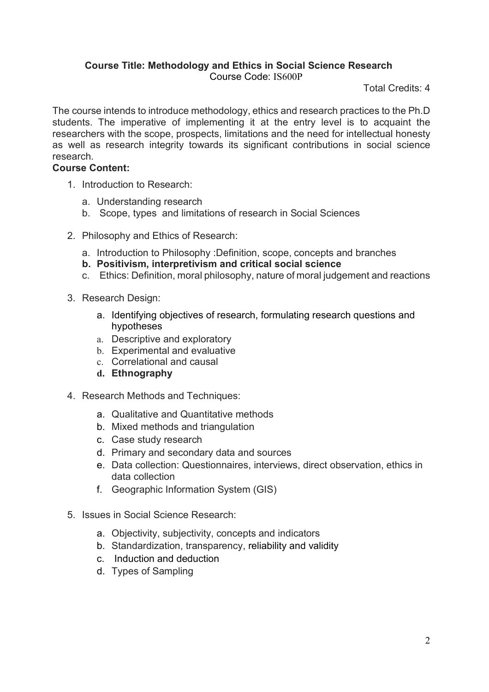## **Course Title: Methodology and Ethics in Social Science Research** Course Code: IS600P

Total Credits: 4

The course intends to introduce methodology, ethics and research practices to the Ph.D students. The imperative of implementing it at the entry level is to acquaint the researchers with the scope, prospects, limitations and the need for intellectual honesty as well as research integrity towards its significant contributions in social science research.

## **Course Content:**

- 1. Introduction to Research:
	- a. Understanding research
	- b. Scope, types and limitations of research in Social Sciences
- 2. Philosophy and Ethics of Research:
	- a. Introduction to Philosophy :Definition, scope, concepts and branches
	- **b. Positivism, interpretivism and critical social science**
	- c. Ethics: Definition, moral philosophy, nature of moral judgement and reactions
- 3. Research Design:
	- a. Identifying objectives of research, formulating research questions and hypotheses
	- a. Descriptive and exploratory
	- b. Experimental and evaluative
	- c. Correlational and causal
	- **d. Ethnography**
- 4. Research Methods and Techniques:
	- a. Qualitative and Quantitative methods
	- b. Mixed methods and triangulation
	- c. Case study research
	- d. Primary and secondary data and sources
	- e. Data collection: Questionnaires, interviews, direct observation, ethics in data collection
	- f. Geographic Information System (GIS)
- 5. Issues in Social Science Research:
	- a. Objectivity, subjectivity, concepts and indicators
	- b. Standardization, transparency, reliability and validity
	- c. Induction and deduction
	- d. Types of Sampling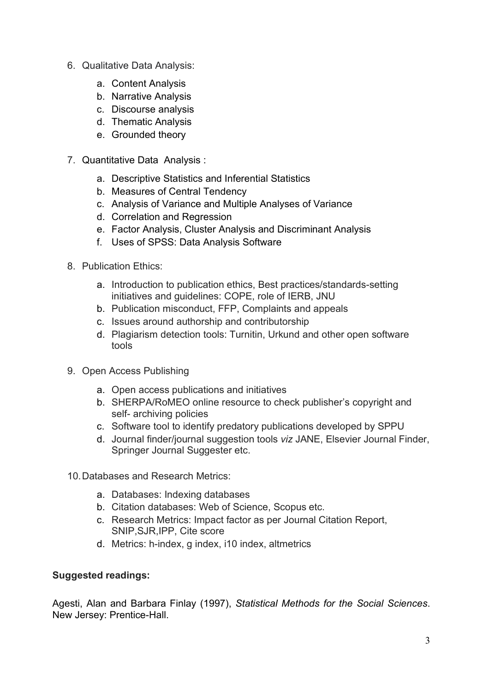- 6. Qualitative Data Analysis:
	- a. Content Analysis
	- b. Narrative Analysis
	- c. Discourse analysis
	- d. Thematic Analysis
	- e. Grounded theory
- 7. Quantitative Data Analysis :
	- a. Descriptive Statistics and Inferential Statistics
	- b. Measures of Central Tendency
	- c. Analysis of Variance and Multiple Analyses of Variance
	- d. Correlation and Regression
	- e. Factor Analysis, Cluster Analysis and Discriminant Analysis
	- f. Uses of SPSS: Data Analysis Software
- 8. Publication Ethics:
	- a. Introduction to publication ethics, Best practices/standards-setting initiatives and guidelines: COPE, role of IERB, JNU
	- b. Publication misconduct, FFP, Complaints and appeals
	- c. Issues around authorship and contributorship
	- d. Plagiarism detection tools: Turnitin, Urkund and other open software tools
- 9. Open Access Publishing
	- a. Open access publications and initiatives
	- b. SHERPA/RoMEO online resource to check publisher's copyright and self- archiving policies
	- c. Software tool to identify predatory publications developed by SPPU
	- d. Journal finder/journal suggestion tools *viz* JANE, Elsevier Journal Finder, Springer Journal Suggester etc.
- 10.Databases and Research Metrics:
	- a. Databases: Indexing databases
	- b. Citation databases: Web of Science, Scopus etc.
	- c. Research Metrics: Impact factor as per Journal Citation Report, SNIP,SJR,IPP, Cite score
	- d. Metrics: h-index, g index, i10 index, altmetrics

## **Suggested readings:**

Agesti, Alan and Barbara Finlay (1997), *Statistical Methods for the Social Sciences*. New Jersey: Prentice-Hall.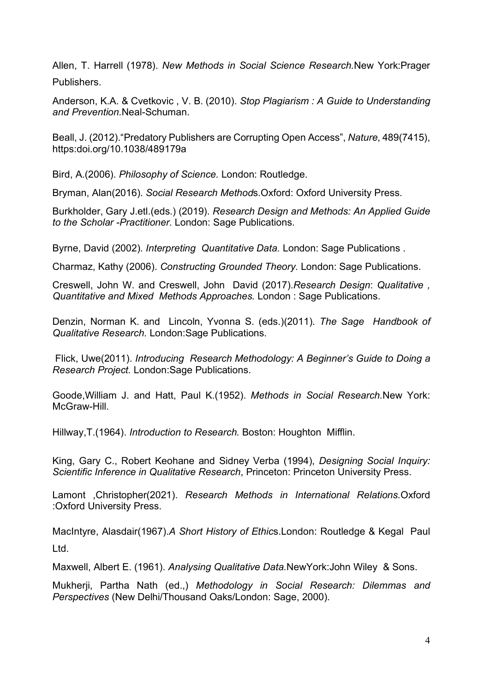Allen, T. Harrell (1978). *New Methods in Social Science Research.*New York:Prager Publishers.

Anderson, K.A. & Cvetkovic , V. B. (2010). *Stop Plagiarism : A Guide to Understanding and Prevention.*Neal-Schuman.

Beall, J. (2012)."Predatory Publishers are Corrupting Open Access", *Nature*, 489(7415), https:doi.org/10.1038/489179a

Bird, A.(2006). *Philosophy of Science.* London: Routledge.

Bryman, Alan(2016). *Social Research Method*s.Oxford: Oxford University Press.

Burkholder, Gary J.etl.(eds.) (2019). *Research Design and Methods: An Applied Guide to the Scholar -Practitioner.* London: Sage Publications.

Byrne, David (2002). *Interpreting Quantitative Data.* London: Sage Publications .

Charmaz, Kathy (2006). *Constructing Grounded Theory.* London: Sage Publications.

Creswell, John W. and Creswell, John David (2017).*Research Design*: *Qualitative , Quantitative and Mixed Methods Approaches.* London : Sage Publications.

Denzin, Norman K. and Lincoln, Yvonna S. (eds.)(2011). *The Sage Handbook of Qualitative Research.* London:Sage Publications.

Flick, Uwe(2011). *Introducing Research Methodology: A Beginner's Guide to Doing a Research Project.* London:Sage Publications.

Goode,William J. and Hatt, Paul K.(1952). *Methods in Social Research.*New York: McGraw-Hill

Hillway,T.(1964). *Introduction to Research.* Boston: Houghton Mifflin.

King, Gary C., Robert Keohane and Sidney Verba (1994), *Designing Social Inquiry: Scientific Inference in Qualitative Research*, Princeton: Princeton University Press.

Lamont ,Christopher(2021). *Research Methods in International Relations.*Oxford :Oxford University Press.

MacIntyre, Alasdair(1967).*A Short History of Ethic*s.London: Routledge & Kegal Paul Ltd.

Maxwell, Albert E. (1961). *Analysing Qualitative Data.*NewYork:John Wiley & Sons.

Mukherji, Partha Nath (ed.,) *Methodology in Social Research: Dilemmas and Perspectives* (New Delhi/Thousand Oaks/London: Sage, 2000).